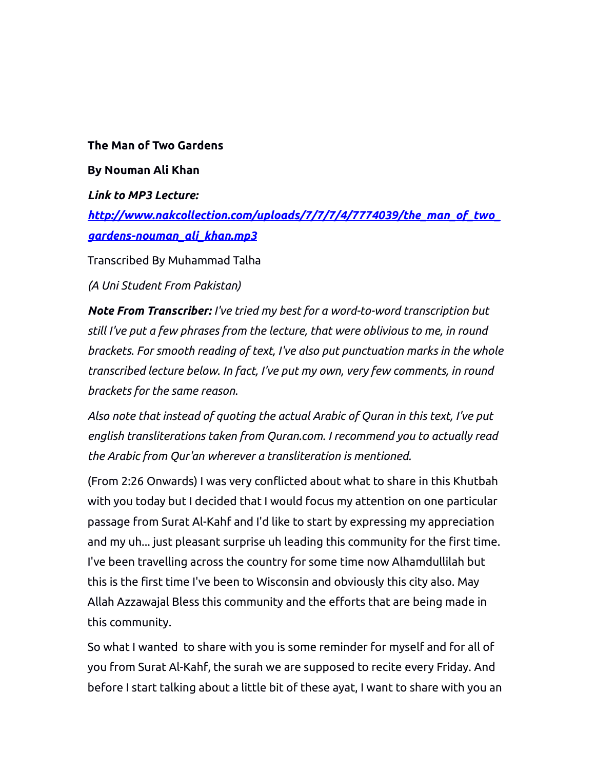## **The Man of Two Gardens**

## **By Nouman Ali Khan**

*Link to MP3 Lecture: [http://www.nakcollection.com/uploads/7/7/7/4/7774039/the\\_man\\_of\\_two\\_](http://www.nakcollection.com/uploads/7/7/7/4/7774039/the_man_of_two_gardens-nouman_ali_khan.mp3) [gardens-nouman\\_ali\\_khan.mp3](http://www.nakcollection.com/uploads/7/7/7/4/7774039/the_man_of_two_gardens-nouman_ali_khan.mp3)*

Transcribed By Muhammad Talha

*(A Uni Student From Pakistan)*

*Note From Transcriber: I've tried my best for a word-to-word transcription but still I've put a few phrases from the lecture, that were oblivious to me, in round brackets. For smooth reading of text, I've also put punctuation marks in the whole transcribed lecture below. In fact, I've put my own, very few comments, in round brackets for the same reason.* 

*Also note that instead of quoting the actual Arabic of Quran in this text, I've put english transliterations taken from Quran.com. I recommend you to actually read the Arabic from Qur'an wherever a transliteration is mentioned.* 

(From 2:26 Onwards) I was very conflicted about what to share in this Khutbah with you today but I decided that I would focus my attention on one particular passage from Surat Al-Kahf and I'd like to start by expressing my appreciation and my uh... just pleasant surprise uh leading this community for the first time. I've been travelling across the country for some time now Alhamdullilah but this is the first time I've been to Wisconsin and obviously this city also. May Allah Azzawajal Bless this community and the efforts that are being made in this community.

So what I wanted to share with you is some reminder for myself and for all of you from Surat Al-Kahf, the surah we are supposed to recite every Friday. And before I start talking about a little bit of these ayat, I want to share with you an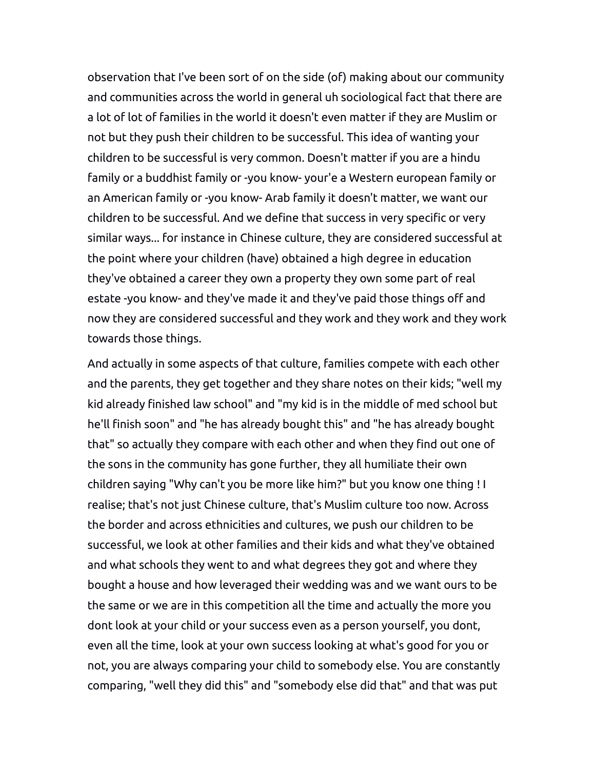observation that I've been sort of on the side (of) making about our community and communities across the world in general uh sociological fact that there are a lot of lot of families in the world it doesn't even matter if they are Muslim or not but they push their children to be successful. This idea of wanting your children to be successful is very common. Doesn't matter if you are a hindu family or a buddhist family or -you know- your'e a Western european family or an American family or -you know- Arab family it doesn't matter, we want our children to be successful. And we define that success in very specific or very similar ways... for instance in Chinese culture, they are considered successful at the point where your children (have) obtained a high degree in education they've obtained a career they own a property they own some part of real estate -you know- and they've made it and they've paid those things off and now they are considered successful and they work and they work and they work towards those things.

And actually in some aspects of that culture, families compete with each other and the parents, they get together and they share notes on their kids; "well my kid already finished law school" and "my kid is in the middle of med school but he'll finish soon" and "he has already bought this" and "he has already bought that" so actually they compare with each other and when they find out one of the sons in the community has gone further, they all humiliate their own children saying "Why can't you be more like him?" but you know one thing ! I realise; that's not just Chinese culture, that's Muslim culture too now. Across the border and across ethnicities and cultures, we push our children to be successful, we look at other families and their kids and what they've obtained and what schools they went to and what degrees they got and where they bought a house and how leveraged their wedding was and we want ours to be the same or we are in this competition all the time and actually the more you dont look at your child or your success even as a person yourself, you dont, even all the time, look at your own success looking at what's good for you or not, you are always comparing your child to somebody else. You are constantly comparing, "well they did this" and "somebody else did that" and that was put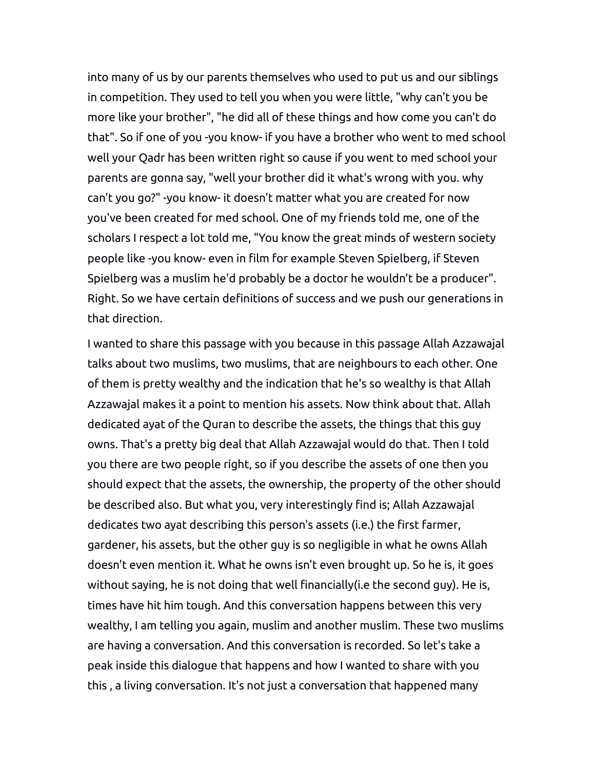into many of us by our parents themselves who used to put us and our siblings in competition. They used to tell you when you were little, "why can't you be more like your brother", "he did all of these things and how come you can't do that". So if one of you -you know- if you have a brother who went to med school well your Qadr has been written right so cause if you went to med school your parents are gonna say, "well your brother did it what's wrong with you. why can't you go?" -you know- it doesn't matter what you are created for now you've been created for med school. One of my friends told me, one of the scholars I respect a lot told me, "You know the great minds of western society people like -you know- even in film for example Steven Spielberg, if Steven Spielberg was a muslim he'd probably be a doctor he wouldn't be a producer". Right. So we have certain definitions of success and we push our generations in that direction.

I wanted to share this passage with you because in this passage Allah Azzawajal talks about two muslims, two muslims, that are neighbours to each other. One of them is pretty wealthy and the indication that he's so wealthy is that Allah Azzawajal makes it a point to mention his assets. Now think about that. Allah dedicated ayat of the Quran to describe the assets, the things that this guy owns. That's a pretty big deal that Allah Azzawajal would do that. Then I told you there are two people right, so if you describe the assets of one then you should expect that the assets, the ownership, the property of the other should be described also. But what you, very interestingly find is; Allah Azzawajal dedicates two ayat describing this person's assets (i.e.) the first farmer, gardener, his assets, but the other guy is so negligible in what he owns Allah doesn't even mention it. What he owns isn't even brought up. So he is, it goes without saying, he is not doing that well financially(i.e the second guy). He is, times have hit him tough. And this conversation happens between this very wealthy, I am telling you again, muslim and another muslim. These two muslims are having a conversation. And this conversation is recorded. So let's take a peak inside this dialogue that happens and how I wanted to share with you this , a living conversation. It's not just a conversation that happened many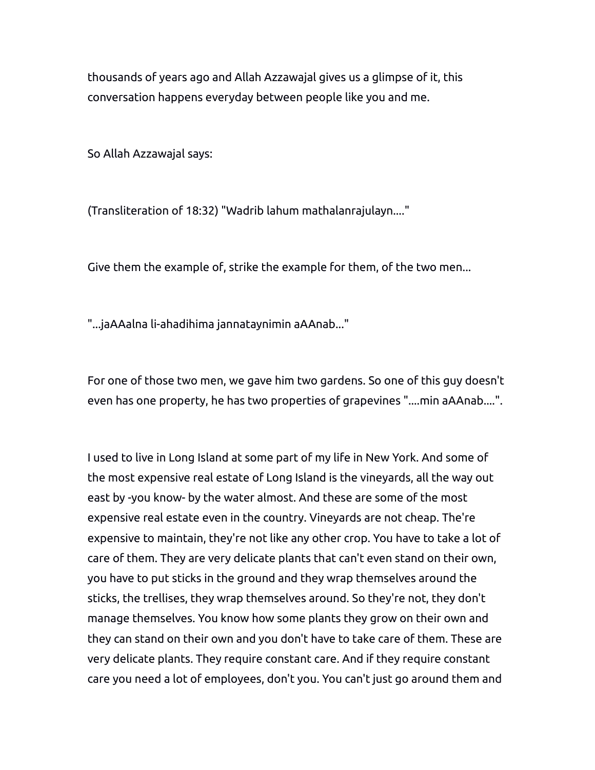thousands of years ago and Allah Azzawajal gives us a glimpse of it, this conversation happens everyday between people like you and me.

So Allah Azzawajal says:

(Transliteration of 18:32) "Wadrib lahum mathalanrajulayn...."

Give them the example of, strike the example for them, of the two men...

"...jaAAalna li-ahadihima jannataynimin aAAnab..."

For one of those two men, we gave him two gardens. So one of this guy doesn't even has one property, he has two properties of grapevines "....min aAAnab....".

I used to live in Long Island at some part of my life in New York. And some of the most expensive real estate of Long Island is the vineyards, all the way out east by -you know- by the water almost. And these are some of the most expensive real estate even in the country. Vineyards are not cheap. The're expensive to maintain, they're not like any other crop. You have to take a lot of care of them. They are very delicate plants that can't even stand on their own, you have to put sticks in the ground and they wrap themselves around the sticks, the trellises, they wrap themselves around. So they're not, they don't manage themselves. You know how some plants they grow on their own and they can stand on their own and you don't have to take care of them. These are very delicate plants. They require constant care. And if they require constant care you need a lot of employees, don't you. You can't just go around them and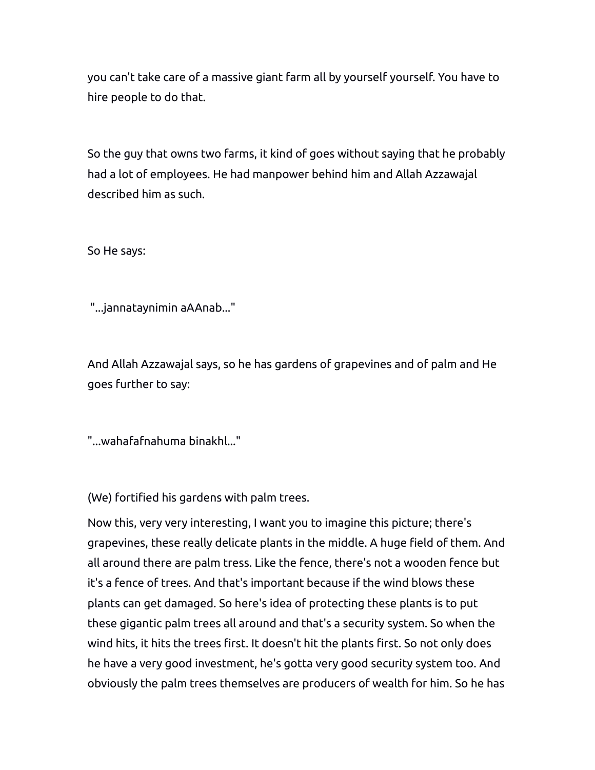you can't take care of a massive giant farm all by yourself yourself. You have to hire people to do that.

So the guy that owns two farms, it kind of goes without saying that he probably had a lot of employees. He had manpower behind him and Allah Azzawajal described him as such.

So He says:

"...jannataynimin aAAnab..."

And Allah Azzawajal says, so he has gardens of grapevines and of palm and He goes further to say:

"...wahafafnahuma binakhl..."

(We) fortified his gardens with palm trees.

Now this, very very interesting, I want you to imagine this picture; there's grapevines, these really delicate plants in the middle. A huge field of them. And all around there are palm tress. Like the fence, there's not a wooden fence but it's a fence of trees. And that's important because if the wind blows these plants can get damaged. So here's idea of protecting these plants is to put these gigantic palm trees all around and that's a security system. So when the wind hits, it hits the trees first. It doesn't hit the plants first. So not only does he have a very good investment, he's gotta very good security system too. And obviously the palm trees themselves are producers of wealth for him. So he has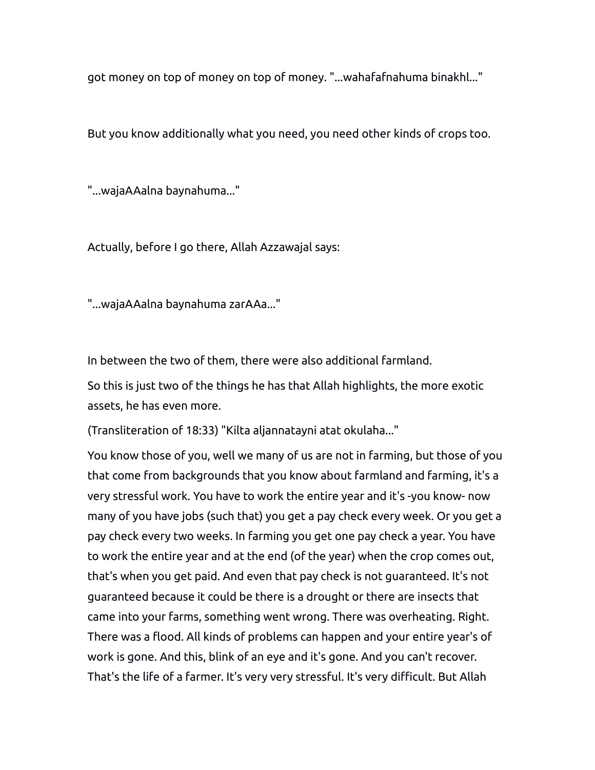got money on top of money on top of money. "...wahafafnahuma binakhl..."

But you know additionally what you need, you need other kinds of crops too.

"...wajaAAalna baynahuma..."

Actually, before I go there, Allah Azzawajal says:

"...wajaAAalna baynahuma zarAAa..."

In between the two of them, there were also additional farmland.

So this is just two of the things he has that Allah highlights, the more exotic assets, he has even more.

(Transliteration of 18:33) "Kilta aljannatayni atat okulaha..."

You know those of you, well we many of us are not in farming, but those of you that come from backgrounds that you know about farmland and farming, it's a very stressful work. You have to work the entire year and it's -you know- now many of you have jobs (such that) you get a pay check every week. Or you get a pay check every two weeks. In farming you get one pay check a year. You have to work the entire year and at the end (of the year) when the crop comes out, that's when you get paid. And even that pay check is not guaranteed. It's not guaranteed because it could be there is a drought or there are insects that came into your farms, something went wrong. There was overheating. Right. There was a flood. All kinds of problems can happen and your entire year's of work is gone. And this, blink of an eye and it's gone. And you can't recover. That's the life of a farmer. It's very very stressful. It's very difficult. But Allah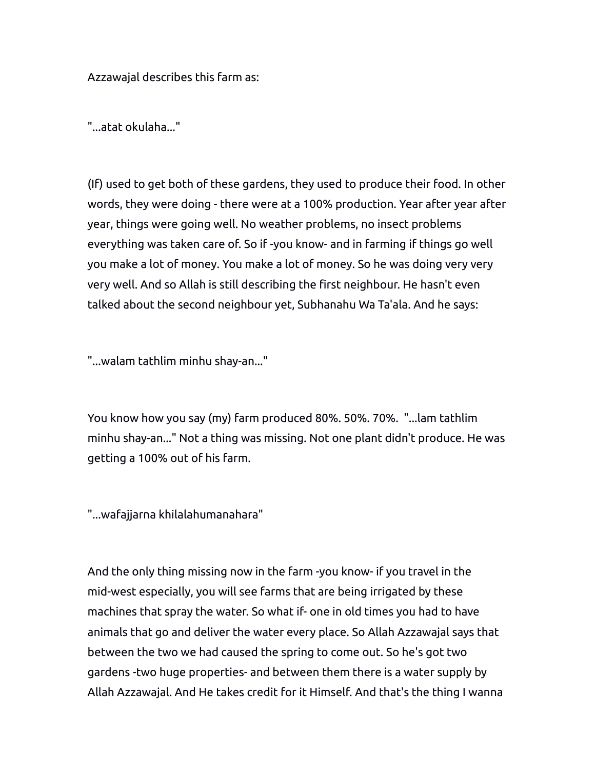Azzawajal describes this farm as:

"...atat okulaha..."

(If) used to get both of these gardens, they used to produce their food. In other words, they were doing - there were at a 100% production. Year after year after year, things were going well. No weather problems, no insect problems everything was taken care of. So if -you know- and in farming if things go well you make a lot of money. You make a lot of money. So he was doing very very very well. And so Allah is still describing the first neighbour. He hasn't even talked about the second neighbour yet, Subhanahu Wa Ta'ala. And he says:

"...walam tathlim minhu shay-an..."

You know how you say (my) farm produced 80%. 50%. 70%. "...lam tathlim minhu shay-an..." Not a thing was missing. Not one plant didn't produce. He was getting a 100% out of his farm.

"...wafajjarna khilalahumanahara"

And the only thing missing now in the farm -you know- if you travel in the mid-west especially, you will see farms that are being irrigated by these machines that spray the water. So what if- one in old times you had to have animals that go and deliver the water every place. So Allah Azzawajal says that between the two we had caused the spring to come out. So he's got two gardens -two huge properties- and between them there is a water supply by Allah Azzawajal. And He takes credit for it Himself. And that's the thing I wanna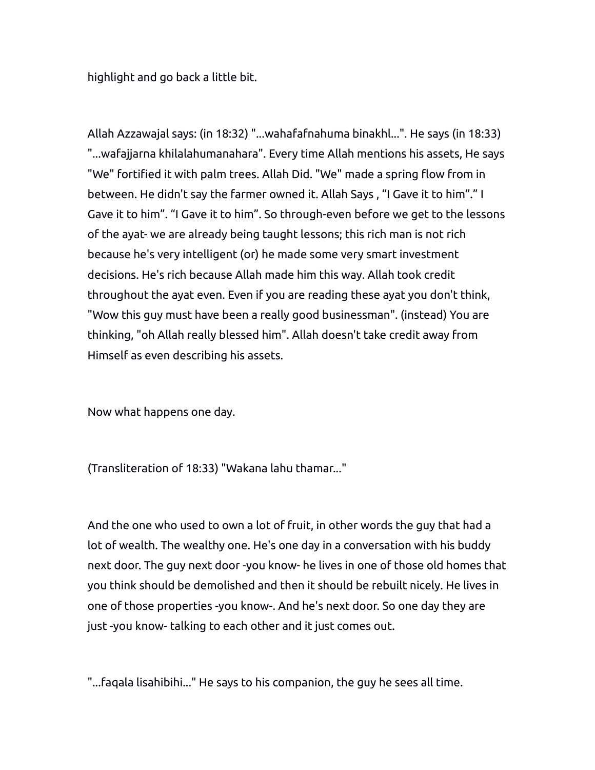highlight and go back a little bit.

Allah Azzawajal says: (in 18:32) "...wahafafnahuma binakhl...". He says (in 18:33) "...wafajjarna khilalahumanahara". Every time Allah mentions his assets, He says "We" fortified it with palm trees. Allah Did. "We" made a spring flow from in between. He didn't say the farmer owned it. Allah Says , "I Gave it to him"." I Gave it to him". "I Gave it to him". So through-even before we get to the lessons of the ayat- we are already being taught lessons; this rich man is not rich because he's very intelligent (or) he made some very smart investment decisions. He's rich because Allah made him this way. Allah took credit throughout the ayat even. Even if you are reading these ayat you don't think, "Wow this guy must have been a really good businessman". (instead) You are thinking, "oh Allah really blessed him". Allah doesn't take credit away from Himself as even describing his assets.

Now what happens one day.

(Transliteration of 18:33) "Wakana lahu thamar..."

And the one who used to own a lot of fruit, in other words the guy that had a lot of wealth. The wealthy one. He's one day in a conversation with his buddy next door. The guy next door -you know- he lives in one of those old homes that you think should be demolished and then it should be rebuilt nicely. He lives in one of those properties -you know-. And he's next door. So one day they are just -you know- talking to each other and it just comes out.

"...faqala lisahibihi..." He says to his companion, the guy he sees all time.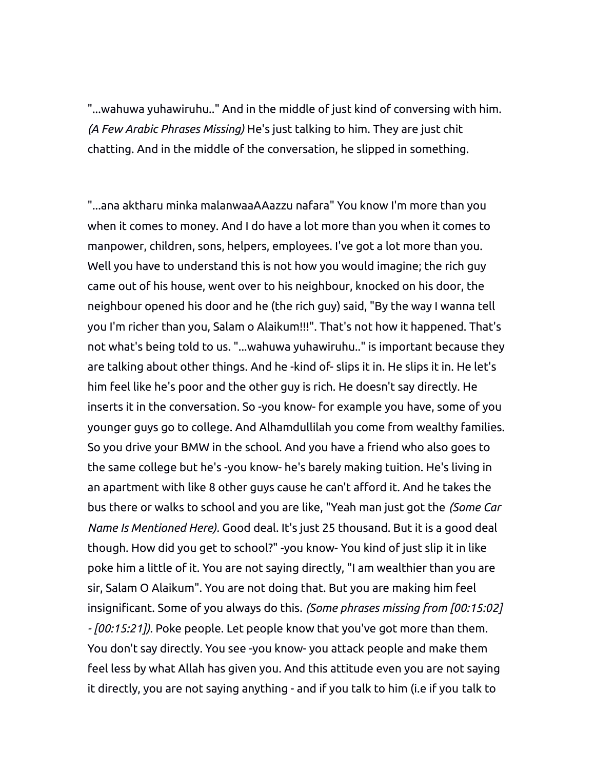"...wahuwa yuhawiruhu.." And in the middle of just kind of conversing with him. *(A Few Arabic Phrases Missing)* He's just talking to him. They are just chit chatting. And in the middle of the conversation, he slipped in something.

"...ana aktharu minka malanwaaAAazzu nafara" You know I'm more than you when it comes to money. And I do have a lot more than you when it comes to manpower, children, sons, helpers, employees. I've got a lot more than you. Well you have to understand this is not how you would imagine; the rich guy came out of his house, went over to his neighbour, knocked on his door, the neighbour opened his door and he (the rich guy) said, "By the way I wanna tell you I'm richer than you, Salam o Alaikum!!!". That's not how it happened. That's not what's being told to us. "...wahuwa yuhawiruhu.." is important because they are talking about other things. And he -kind of- slips it in. He slips it in. He let's him feel like he's poor and the other guy is rich. He doesn't say directly. He inserts it in the conversation. So -you know- for example you have, some of you younger guys go to college. And Alhamdullilah you come from wealthy families. So you drive your BMW in the school. And you have a friend who also goes to the same college but he's -you know- he's barely making tuition. He's living in an apartment with like 8 other guys cause he can't afford it. And he takes the bus there or walks to school and you are like, "Yeah man just got the *(Some Car Name Is Mentioned Here).* Good deal. It's just 25 thousand. But it is a good deal though. How did you get to school?" -you know- You kind of just slip it in like poke him a little of it. You are not saying directly, "I am wealthier than you are sir, Salam O Alaikum". You are not doing that. But you are making him feel insignificant. Some of you always do this. *(Some phrases missing from [00:15:02] - [00:15:21]).* Poke people. Let people know that you've got more than them. You don't say directly. You see -you know- you attack people and make them feel less by what Allah has given you. And this attitude even you are not saying it directly, you are not saying anything - and if you talk to him (i.e if you talk to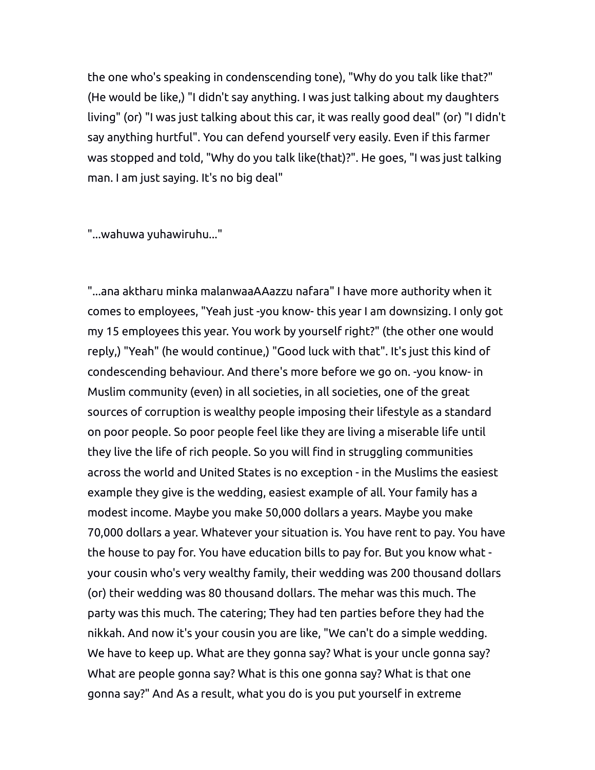the one who's speaking in condenscending tone), "Why do you talk like that?" (He would be like,) "I didn't say anything. I was just talking about my daughters living" (or) "I was just talking about this car, it was really good deal" (or) "I didn't say anything hurtful". You can defend yourself very easily. Even if this farmer was stopped and told, "Why do you talk like(that)?". He goes, "I was just talking man. I am just saying. It's no big deal"

"...wahuwa yuhawiruhu..."

"...ana aktharu minka malanwaaAAazzu nafara" I have more authority when it comes to employees, "Yeah just -you know- this year I am downsizing. I only got my 15 employees this year. You work by yourself right?" (the other one would reply,) "Yeah" (he would continue,) "Good luck with that". It's just this kind of condescending behaviour. And there's more before we go on. -you know- in Muslim community (even) in all societies, in all societies, one of the great sources of corruption is wealthy people imposing their lifestyle as a standard on poor people. So poor people feel like they are living a miserable life until they live the life of rich people. So you will find in struggling communities across the world and United States is no exception - in the Muslims the easiest example they give is the wedding, easiest example of all. Your family has a modest income. Maybe you make 50,000 dollars a years. Maybe you make 70,000 dollars a year. Whatever your situation is. You have rent to pay. You have the house to pay for. You have education bills to pay for. But you know what your cousin who's very wealthy family, their wedding was 200 thousand dollars (or) their wedding was 80 thousand dollars. The mehar was this much. The party was this much. The catering; They had ten parties before they had the nikkah. And now it's your cousin you are like, "We can't do a simple wedding. We have to keep up. What are they gonna say? What is your uncle gonna say? What are people gonna say? What is this one gonna say? What is that one gonna say?" And As a result, what you do is you put yourself in extreme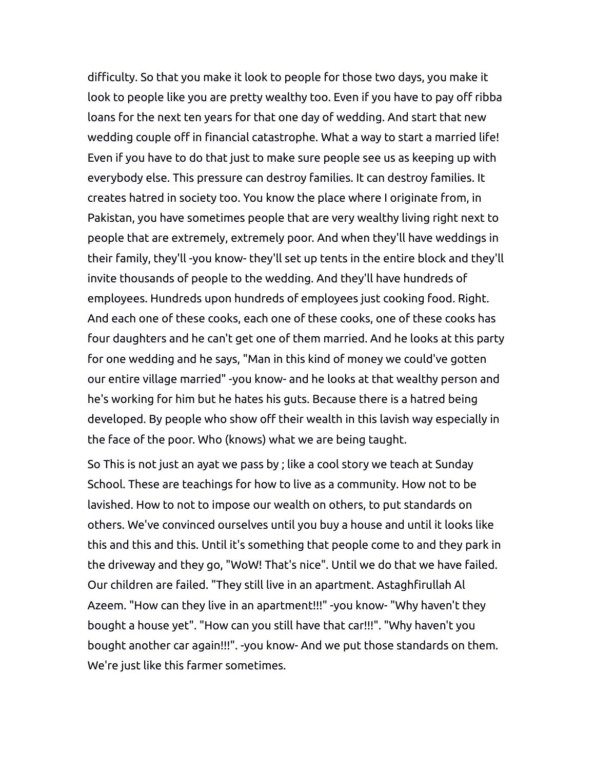difficulty. So that you make it look to people for those two days, you make it look to people like you are pretty wealthy too. Even if you have to pay off ribba loans for the next ten years for that one day of wedding. And start that new wedding couple off in financial catastrophe. What a way to start a married life! Even if you have to do that just to make sure people see us as keeping up with everybody else. This pressure can destroy families. It can destroy families. It creates hatred in society too. You know the place where I originate from, in Pakistan, you have sometimes people that are very wealthy living right next to people that are extremely, extremely poor. And when they'll have weddings in their family, they'll -you know- they'll set up tents in the entire block and they'll invite thousands of people to the wedding. And they'll have hundreds of employees. Hundreds upon hundreds of employees just cooking food. Right. And each one of these cooks, each one of these cooks, one of these cooks has four daughters and he can't get one of them married. And he looks at this party for one wedding and he says, "Man in this kind of money we could've gotten our entire village married" -you know- and he looks at that wealthy person and he's working for him but he hates his guts. Because there is a hatred being developed. By people who show off their wealth in this lavish way especially in the face of the poor. Who (knows) what we are being taught.

So This is not just an ayat we pass by ; like a cool story we teach at Sunday School. These are teachings for how to live as a community. How not to be lavished. How to not to impose our wealth on others, to put standards on others. We've convinced ourselves until you buy a house and until it looks like this and this and this. Until it's something that people come to and they park in the driveway and they go, "WoW! That's nice". Until we do that we have failed. Our children are failed. "They still live in an apartment. Astaghfirullah Al Azeem. "How can they live in an apartment!!!" -you know- "Why haven't they bought a house yet". "How can you still have that car!!!". "Why haven't you bought another car again!!!". -you know- And we put those standards on them. We're just like this farmer sometimes.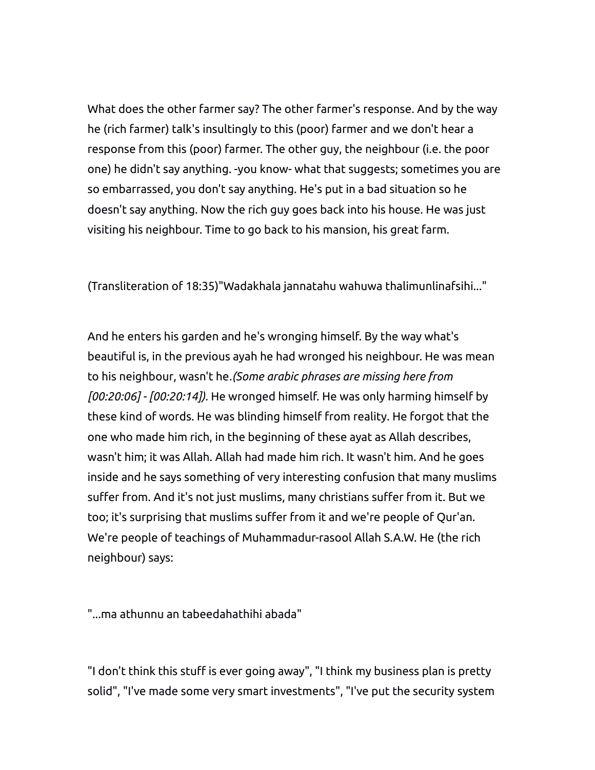What does the other farmer say? The other farmer's response. And by the way he (rich farmer) talk's insultingly to this (poor) farmer and we don't hear a response from this (poor) farmer. The other guy, the neighbour (i.e. the poor one) he didn't say anything. -you know- what that suggests; sometimes you are so embarrassed, you don't say anything. He's put in a bad situation so he doesn't say anything. Now the rich guy goes back into his house. He was just visiting his neighbour. Time to go back to his mansion, his great farm.

(Transliteration of 18:35)"Wadakhala jannatahu wahuwa thalimunlinafsihi..."

And he enters his garden and he's wronging himself. By the way what's beautiful is, in the previous ayah he had wronged his neighbour. He was mean to his neighbour, wasn't he*.(Some arabic phrases are missing here from [00:20:06] - [00:20:14]).* He wronged himself. He was only harming himself by these kind of words. He was blinding himself from reality. He forgot that the one who made him rich, in the beginning of these ayat as Allah describes, wasn't him; it was Allah. Allah had made him rich. It wasn't him. And he goes inside and he says something of very interesting confusion that many muslims suffer from. And it's not just muslims, many christians suffer from it. But we too; it's surprising that muslims suffer from it and we're people of Qur'an. We're people of teachings of Muhammadur-rasool Allah S.A.W. He (the rich neighbour) says:

"...ma athunnu an tabeedahathihi abada"

"I don't think this stuff is ever going away", "I think my business plan is pretty solid", "I've made some very smart investments", "I've put the security system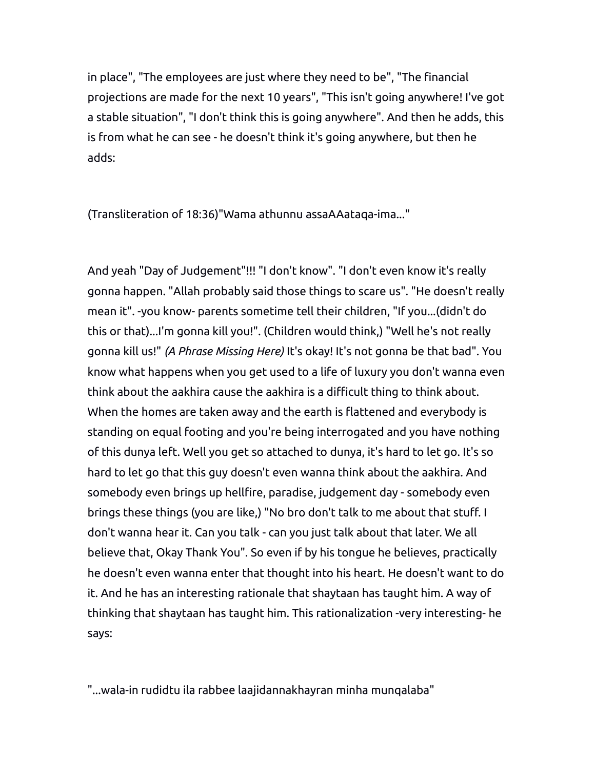in place", "The employees are just where they need to be", "The financial projections are made for the next 10 years", "This isn't going anywhere! I've got a stable situation", "I don't think this is going anywhere". And then he adds, this is from what he can see - he doesn't think it's going anywhere, but then he adds:

(Transliteration of 18:36)"Wama athunnu assaAAataqa-ima..."

And yeah "Day of Judgement"!!! "I don't know". "I don't even know it's really gonna happen. "Allah probably said those things to scare us". "He doesn't really mean it". -you know- parents sometime tell their children, "If you...(didn't do this or that)...I'm gonna kill you!". (Children would think,) "Well he's not really gonna kill us!" *(A Phrase Missing Here)* It's okay! It's not gonna be that bad". You know what happens when you get used to a life of luxury you don't wanna even think about the aakhira cause the aakhira is a difficult thing to think about. When the homes are taken away and the earth is flattened and everybody is standing on equal footing and you're being interrogated and you have nothing of this dunya left. Well you get so attached to dunya, it's hard to let go. It's so hard to let go that this guy doesn't even wanna think about the aakhira. And somebody even brings up hellfire, paradise, judgement day - somebody even brings these things (you are like,) "No bro don't talk to me about that stuff. I don't wanna hear it. Can you talk - can you just talk about that later. We all believe that, Okay Thank You". So even if by his tongue he believes, practically he doesn't even wanna enter that thought into his heart. He doesn't want to do it. And he has an interesting rationale that shaytaan has taught him. A way of thinking that shaytaan has taught him. This rationalization -very interesting- he says:

"...wala-in rudidtu ila rabbee laajidannakhayran minha munqalaba"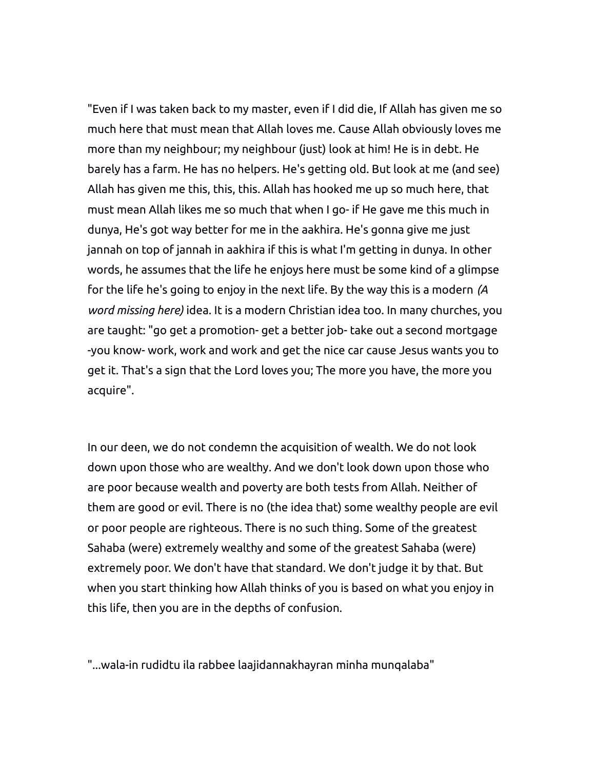"Even if I was taken back to my master, even if I did die, If Allah has given me so much here that must mean that Allah loves me. Cause Allah obviously loves me more than my neighbour; my neighbour (just) look at him! He is in debt. He barely has a farm. He has no helpers. He's getting old. But look at me (and see) Allah has given me this, this, this. Allah has hooked me up so much here, that must mean Allah likes me so much that when I go- if He gave me this much in dunya, He's got way better for me in the aakhira. He's gonna give me just jannah on top of jannah in aakhira if this is what I'm getting in dunya. In other words, he assumes that the life he enjoys here must be some kind of a glimpse for the life he's going to enjoy in the next life. By the way this is a modern *(A word missing here)* idea. It is a modern Christian idea too. In many churches, you are taught: "go get a promotion- get a better job- take out a second mortgage -you know- work, work and work and get the nice car cause Jesus wants you to get it. That's a sign that the Lord loves you; The more you have, the more you acquire".

In our deen, we do not condemn the acquisition of wealth. We do not look down upon those who are wealthy. And we don't look down upon those who are poor because wealth and poverty are both tests from Allah. Neither of them are good or evil. There is no (the idea that) some wealthy people are evil or poor people are righteous. There is no such thing. Some of the greatest Sahaba (were) extremely wealthy and some of the greatest Sahaba (were) extremely poor. We don't have that standard. We don't judge it by that. But when you start thinking how Allah thinks of you is based on what you enjoy in this life, then you are in the depths of confusion.

"...wala-in rudidtu ila rabbee laajidannakhayran minha munqalaba"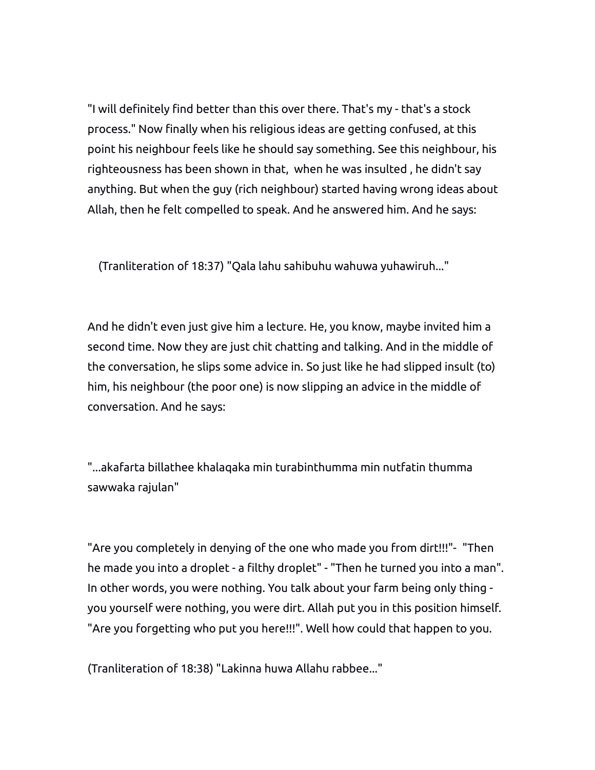"I will definitely find better than this over there. That's my - that's a stock process." Now finally when his religious ideas are getting confused, at this point his neighbour feels like he should say something. See this neighbour, his righteousness has been shown in that, when he was insulted , he didn't say anything. But when the guy (rich neighbour) started having wrong ideas about Allah, then he felt compelled to speak. And he answered him. And he says:

(Tranliteration of 18:37) "Qala lahu sahibuhu wahuwa yuhawiruh..."

And he didn't even just give him a lecture. He, you know, maybe invited him a second time. Now they are just chit chatting and talking. And in the middle of the conversation, he slips some advice in. So just like he had slipped insult (to) him, his neighbour (the poor one) is now slipping an advice in the middle of conversation. And he says:

"...akafarta billathee khalaqaka min turabinthumma min nutfatin thumma sawwaka rajulan"

"Are you completely in denying of the one who made you from dirt!!!"- "Then he made you into a droplet - a filthy droplet" - "Then he turned you into a man". In other words, you were nothing. You talk about your farm being only thing you yourself were nothing, you were dirt. Allah put you in this position himself. "Are you forgetting who put you here!!!". Well how could that happen to you.

(Tranliteration of 18:38) "Lakinna huwa Allahu rabbee..."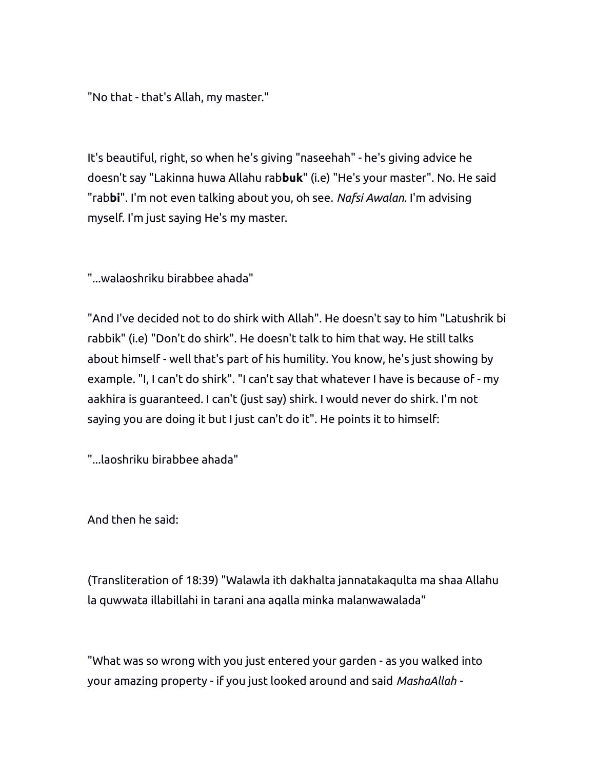"No that - that's Allah, my master."

It's beautiful, right, so when he's giving "naseehah" - he's giving advice he doesn't say "Lakinna huwa Allahu rab**buk**" (i.e) "He's your master". No. He said "rab**bi**". I'm not even talking about you, oh see. *Nafsi Awalan.* I'm advising myself. I'm just saying He's my master.

"...walaoshriku birabbee ahada"

"And I've decided not to do shirk with Allah". He doesn't say to him "Latushrik bi rabbik" (i.e) "Don't do shirk". He doesn't talk to him that way. He still talks about himself - well that's part of his humility. You know, he's just showing by example. "I, I can't do shirk". "I can't say that whatever I have is because of - my aakhira is guaranteed. I can't (just say) shirk. I would never do shirk. I'm not saying you are doing it but I just can't do it". He points it to himself:

"...laoshriku birabbee ahada"

And then he said:

(Transliteration of 18:39) "Walawla ith dakhalta jannatakaqulta ma shaa Allahu la quwwata illabillahi in tarani ana aqalla minka malanwawalada"

"What was so wrong with you just entered your garden - as you walked into your amazing property - if you just looked around and said *MashaAllah -*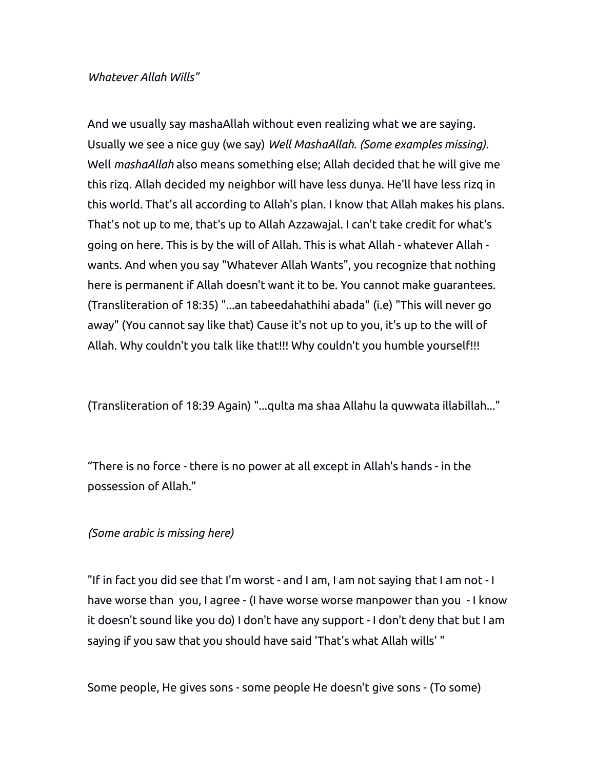## *Whatever Allah Wills"*

And we usually say mashaAllah without even realizing what we are saying. Usually we see a nice guy (we say) *Well MashaAllah. (Some examples missing).*  Well *mashaAllah* also means something else; Allah decided that he will give me this rizq. Allah decided my neighbor will have less dunya. He'll have less rizq in this world. That's all according to Allah's plan. I know that Allah makes his plans. That's not up to me, that's up to Allah Azzawajal. I can't take credit for what's going on here. This is by the will of Allah. This is what Allah - whatever Allah wants. And when you say "Whatever Allah Wants", you recognize that nothing here is permanent if Allah doesn't want it to be. You cannot make guarantees. (Transliteration of 18:35) "...an tabeedahathihi abada" (i.e) "This will never go away" (You cannot say like that) Cause it's not up to you, it's up to the will of Allah. Why couldn't you talk like that!!! Why couldn't you humble yourself!!!

(Transliteration of 18:39 Again) "...qulta ma shaa Allahu la quwwata illabillah..."

"There is no force - there is no power at all except in Allah's hands - in the possession of Allah."

## *(Some arabic is missing here)*

"If in fact you did see that I'm worst - and I am, I am not saying that I am not - I have worse than you, I agree - (I have worse worse manpower than you - I know it doesn't sound like you do) I don't have any support - I don't deny that but I am saying if you saw that you should have said 'That's what Allah wills' "

Some people, He gives sons - some people He doesn't give sons - (To some)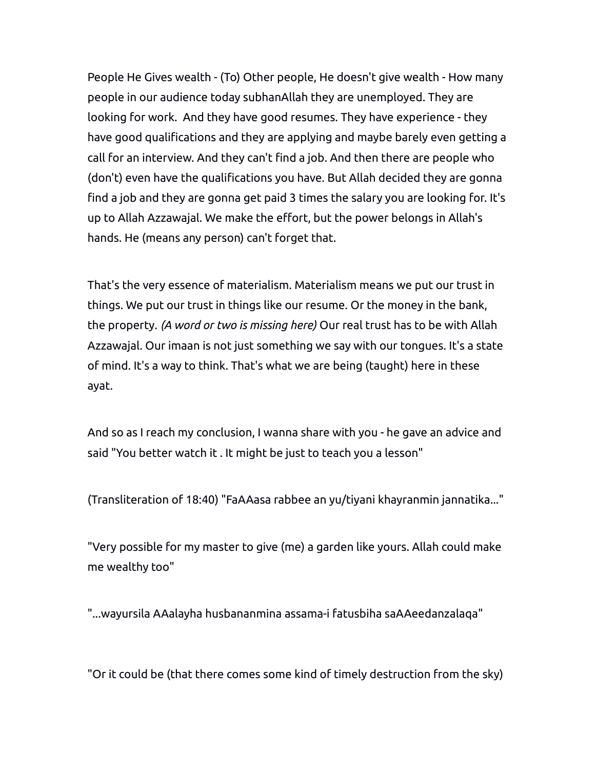People He Gives wealth - (To) Other people, He doesn't give wealth - How many people in our audience today subhanAllah they are unemployed. They are looking for work. And they have good resumes. They have experience - they have good qualifications and they are applying and maybe barely even getting a call for an interview. And they can't find a job. And then there are people who (don't) even have the qualifications you have. But Allah decided they are gonna find a job and they are gonna get paid 3 times the salary you are looking for. It's up to Allah Azzawajal. We make the effort, but the power belongs in Allah's hands. He (means any person) can't forget that.

That's the very essence of materialism. Materialism means we put our trust in things. We put our trust in things like our resume. Or the money in the bank, the property. *(A word or two is missing here)* Our real trust has to be with Allah Azzawajal. Our imaan is not just something we say with our tongues. It's a state of mind. It's a way to think. That's what we are being (taught) here in these ayat.

And so as I reach my conclusion, I wanna share with you - he gave an advice and said "You better watch it . It might be just to teach you a lesson"

(Transliteration of 18:40) "FaAAasa rabbee an yu/tiyani khayranmin jannatika..."

"Very possible for my master to give (me) a garden like yours. Allah could make me wealthy too"

"...wayursila AAalayha husbananmina assama-i fatusbiha saAAeedanzalaqa"

"Or it could be (that there comes some kind of timely destruction from the sky)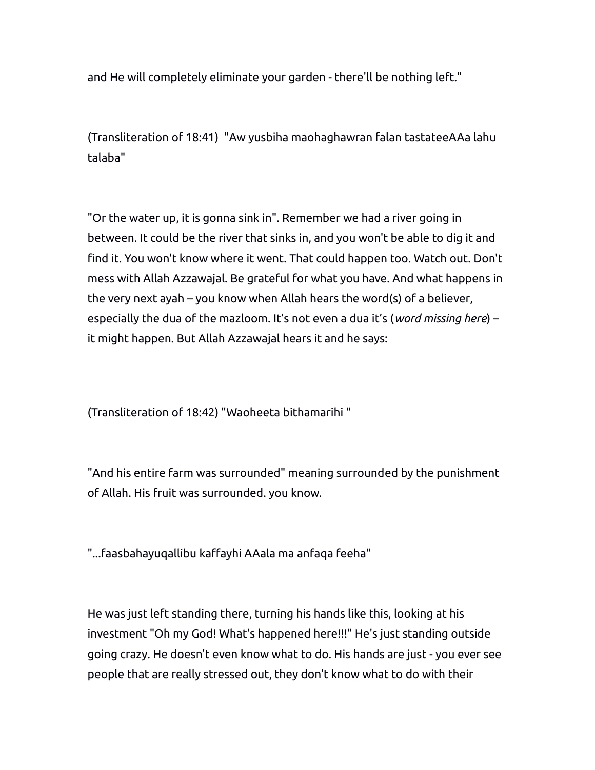and He will completely eliminate your garden - there'll be nothing left."

(Transliteration of 18:41) "Aw yusbiha maohaghawran falan tastateeAAa lahu talaba"

"Or the water up, it is gonna sink in". Remember we had a river going in between. It could be the river that sinks in, and you won't be able to dig it and find it. You won't know where it went. That could happen too. Watch out. Don't mess with Allah Azzawajal. Be grateful for what you have. And what happens in the very next ayah – you know when Allah hears the word(s) of a believer, especially the dua of the mazloom. It's not even a dua it's (*word missing here*) – it might happen. But Allah Azzawajal hears it and he says:

(Transliteration of 18:42) "Waoheeta bithamarihi "

"And his entire farm was surrounded" meaning surrounded by the punishment of Allah. His fruit was surrounded. you know.

"...faasbahayuqallibu kaffayhi AAala ma anfaqa feeha"

He was just left standing there, turning his hands like this, looking at his investment "Oh my God! What's happened here!!!" He's just standing outside going crazy. He doesn't even know what to do. His hands are just - you ever see people that are really stressed out, they don't know what to do with their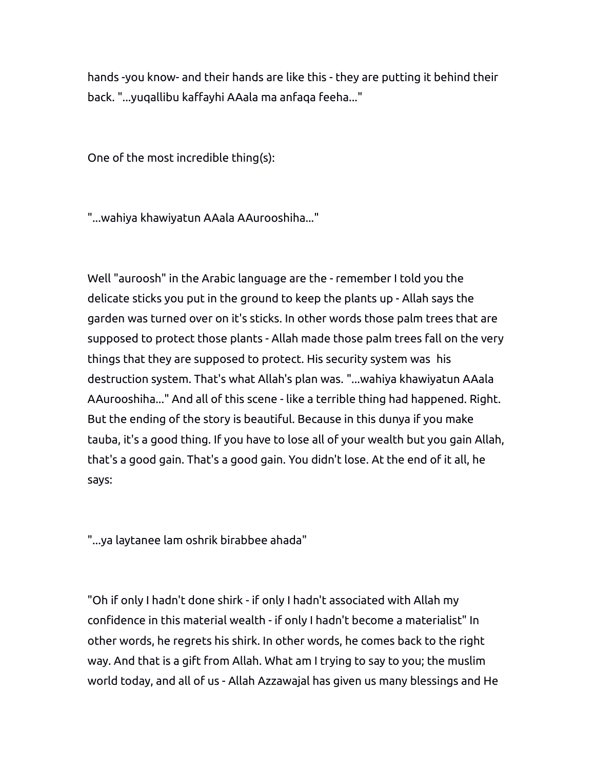hands -you know- and their hands are like this - they are putting it behind their back. "...yuqallibu kaffayhi AAala ma anfaqa feeha..."

One of the most incredible thing(s):

"...wahiya khawiyatun AAala AAurooshiha..."

Well "auroosh" in the Arabic language are the - remember I told you the delicate sticks you put in the ground to keep the plants up - Allah says the garden was turned over on it's sticks. In other words those palm trees that are supposed to protect those plants - Allah made those palm trees fall on the very things that they are supposed to protect. His security system was his destruction system. That's what Allah's plan was. "...wahiya khawiyatun AAala AAurooshiha..." And all of this scene - like a terrible thing had happened. Right. But the ending of the story is beautiful. Because in this dunya if you make tauba, it's a good thing. If you have to lose all of your wealth but you gain Allah, that's a good gain. That's a good gain. You didn't lose. At the end of it all, he says:

"...ya laytanee lam oshrik birabbee ahada"

"Oh if only I hadn't done shirk - if only I hadn't associated with Allah my confidence in this material wealth - if only I hadn't become a materialist" In other words, he regrets his shirk. In other words, he comes back to the right way. And that is a gift from Allah. What am I trying to say to you; the muslim world today, and all of us - Allah Azzawajal has given us many blessings and He